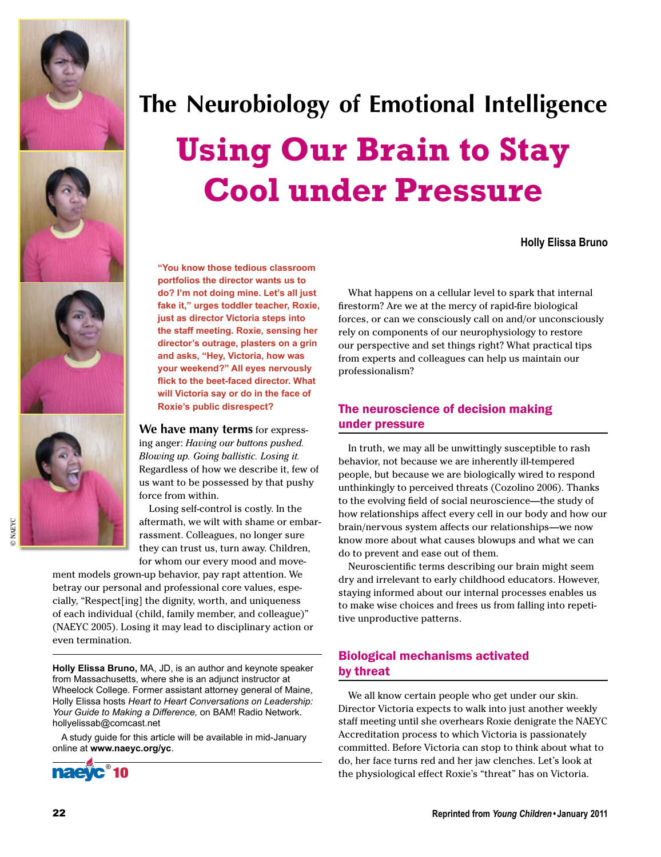







© NAEYC

**NAEYC** 

# **The Neurobiology of Emotional Intelligence Using Our Brain to Stay Cool under Pressure**

**Holly Elissa Bruno**

**"You know those tedious classroom portfolios the director wants us to do? I'm not doing mine. Let's all just fake it," urges toddler teacher, Roxie, just as director Victoria steps into the staff meeting. Roxie, sensing her director's outrage, plasters on a grin and asks, "Hey, Victoria, how was your weekend?" All eyes nervously flick to the beet-faced director. What will Victoria say or do in the face of Roxie's public disrespect?**

**We have many terms** for expressing anger: *Having our buttons pushed. Blowing up. Going ballistic. Losing it.* Regardless of how we describe it, few of us want to be possessed by that pushy force from within.

Losing self-control is costly. In the aftermath, we wilt with shame or embarrassment. Colleagues, no longer sure they can trust us, turn away. Children, for whom our every mood and move-

ment models grown-up behavior, pay rapt attention. We betray our personal and professional core values, especially, "Respect[ing] the dignity, worth, and uniqueness of each individual (child, family member, and colleague)" (NAEYC 2005). Losing it may lead to disciplinary action or even termination.

**Holly Elissa Bruno,** MA, JD, is an author and keynote speaker from Massachusetts, where she is an adjunct instructor at Wheelock College. Former assistant attorney general of Maine, Holly Elissa hosts *Heart to Heart Conversations on Leadership: Your Guide to Making a Difference,* on BAM! Radio Network. hollyelissab@comcast.net

A study guide for this article will be available in mid-January online at **www.naeyc.org/yc**.



What happens on a cellular level to spark that internal firestorm? Are we at the mercy of rapid-fire biological forces, or can we consciously call on and/or unconsciously rely on components of our neurophysiology to restore our perspective and set things right? What practical tips from experts and colleagues can help us maintain our professionalism?

### The neuroscience of decision making under pressure

In truth, we may all be unwittingly susceptible to rash behavior, not because we are inherently ill-tempered people, but because we are biologically wired to respond unthinkingly to perceived threats (Cozolino 2006). Thanks to the evolving field of social neuroscience—the study of how relationships affect every cell in our body and how our brain/nervous system affects our relationships—we now know more about what causes blowups and what we can do to prevent and ease out of them.

Neuroscientific terms describing our brain might seem dry and irrelevant to early childhood educators. However, staying informed about our internal processes enables us to make wise choices and frees us from falling into repetitive unproductive patterns.

### Biological mechanisms activated by threat

We all know certain people who get under our skin. Director Victoria expects to walk into just another weekly staff meeting until she overhears Roxie denigrate the NAEYC Accreditation process to which Victoria is passionately committed. Before Victoria can stop to think about what to do, her face turns red and her jaw clenches. Let's look at the physiological effect Roxie's "threat" has on Victoria.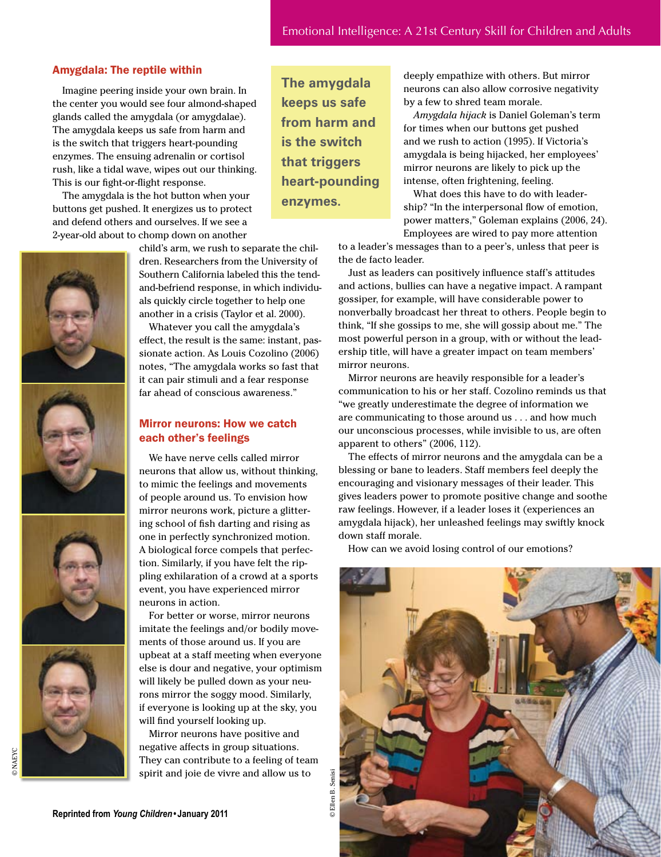### Amygdala: The reptile within

Imagine peering inside your own brain. In the center you would see four almond-shaped glands called the amygdala (or amygdalae). The amygdala keeps us safe from harm and is the switch that triggers heart-pounding enzymes. The ensuing adrenalin or cortisol rush, like a tidal wave, wipes out our thinking. This is our fight-or-flight response.

The amygdala is the hot button when your buttons get pushed. It energizes us to protect and defend others and ourselves. If we see a 2-year-old about to chomp down on another









child's arm, we rush to separate the children. Researchers from the University of Southern California labeled this the tendand-befriend response, in which individuals quickly circle together to help one another in a crisis (Taylor et al. 2000).

Whatever you call the amygdala's effect, the result is the same: instant, passionate action. As Louis Cozolino (2006) notes, "The amygdala works so fast that it can pair stimuli and a fear response far ahead of conscious awareness."

### Mirror neurons: How we catch each other's feelings

We have nerve cells called mirror neurons that allow us, without thinking, to mimic the feelings and movements of people around us. To envision how mirror neurons work, picture a glittering school of fish darting and rising as one in perfectly synchronized motion. A biological force compels that perfection. Similarly, if you have felt the rippling exhilaration of a crowd at a sports event, you have experienced mirror neurons in action.

For better or worse, mirror neurons imitate the feelings and/or bodily movements of those around us. If you are upbeat at a staff meeting when everyone else is dour and negative, your optimism will likely be pulled down as your neurons mirror the soggy mood. Similarly, if everyone is looking up at the sky, you will find yourself looking up.

Mirror neurons have positive and negative affects in group situations. They can contribute to a feeling of team spirit and joie de vivre and allow us to

**The amygdala keeps us safe from harm and is the switch that triggers heart-pounding enzymes.**

deeply empathize with others. But mirror neurons can also allow corrosive negativity by a few to shred team morale.

*Amygdala hijack* is Daniel Goleman's term for times when our buttons get pushed and we rush to action (1995). If Victoria's amygdala is being hijacked, her employees' mirror neurons are likely to pick up the intense, often frightening, feeling.

What does this have to do with leadership? "In the interpersonal flow of emotion, power matters," Goleman explains (2006, 24). Employees are wired to pay more attention

to a leader's messages than to a peer's, unless that peer is the de facto leader.

Just as leaders can positively influence staff's attitudes and actions, bullies can have a negative impact. A rampant gossiper, for example, will have considerable power to nonverbally broadcast her threat to others. People begin to think, "If she gossips to me, she will gossip about me." The most powerful person in a group, with or without the leadership title, will have a greater impact on team members' mirror neurons.

Mirror neurons are heavily responsible for a leader's communication to his or her staff. Cozolino reminds us that "we greatly underestimate the degree of information we are communicating to those around us . . . and how much our unconscious processes, while invisible to us, are often apparent to others" (2006, 112).

The effects of mirror neurons and the amygdala can be a blessing or bane to leaders. Staff members feel deeply the encouraging and visionary messages of their leader. This gives leaders power to promote positive change and soothe raw feelings. However, if a leader loses it (experiences an amygdala hijack), her unleashed feelings may swiftly knock down staff morale.

How can we avoid losing control of our emotions?

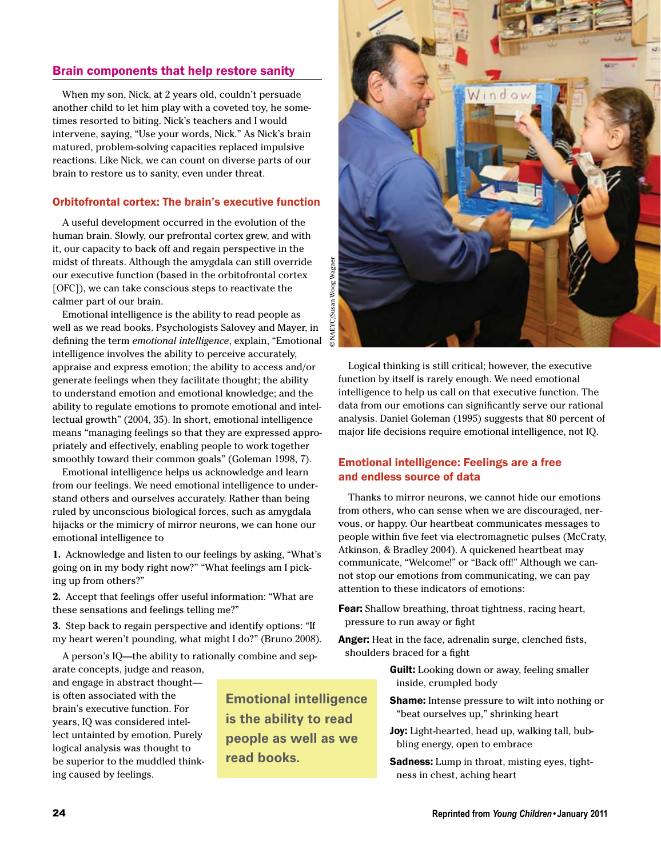### Brain components that help restore sanity

When my son, Nick, at 2 years old, couldn't persuade another child to let him play with a coveted toy, he sometimes resorted to biting. Nick's teachers and I would intervene, saying, "Use your words, Nick." As Nick's brain matured, problem-solving capacities replaced impulsive reactions. Like Nick, we can count on diverse parts of our brain to restore us to sanity, even under threat.

### Orbitofrontal cortex: The brain's executive function

A useful development occurred in the evolution of the human brain. Slowly, our prefrontal cortex grew, and with it, our capacity to back off and regain perspective in the midst of threats. Although the amygdala can still override our executive function (based in the orbitofrontal cortex [OFC]), we can take conscious steps to reactivate the calmer part of our brain.

Emotional intelligence is the ability to read people as well as we read books. Psychologists Salovey and Mayer, in defining the term *emotional intelligence*, explain, "Emotional intelligence involves the ability to perceive accurately, appraise and express emotion; the ability to access and/or generate feelings when they facilitate thought; the ability to understand emotion and emotional knowledge; and the ability to regulate emotions to promote emotional and intellectual growth" (2004, 35). In short, emotional intelligence means "managing feelings so that they are expressed appropriately and effectively, enabling people to work together smoothly toward their common goals" (Goleman 1998, 7).

Emotional intelligence helps us acknowledge and learn from our feelings. We need emotional intelligence to understand others and ourselves accurately. Rather than being ruled by unconscious biological forces, such as amygdala hijacks or the mimicry of mirror neurons, we can hone our emotional intelligence to

**1.** Acknowledge and listen to our feelings by asking, "What's going on in my body right now?" "What feelings am I picking up from others?"

**2.** Accept that feelings offer useful information: "What are these sensations and feelings telling me?"

**3.** Step back to regain perspective and identify options: "If my heart weren't pounding, what might I do?" (Bruno 2008).

A person's IQ—the ability to rationally combine and separate concepts, judge and reason,

and engage in abstract thought is often associated with the brain's executive function. For years, IQ was considered intellect untainted by emotion. Purely logical analysis was thought to be superior to the muddled thinking caused by feelings.

**Emotional intelligence is the ability to read people as well as we read books.**



Logical thinking is still critical; however, the executive function by itself is rarely enough. We need emotional intelligence to help us call on that executive function. The data from our emotions can significantly serve our rational analysis. Daniel Goleman (1995) suggests that 80 percent of major life decisions require emotional intelligence, not IQ.

### Emotional intelligence: Feelings are a free and endless source of data

Thanks to mirror neurons, we cannot hide our emotions from others, who can sense when we are discouraged, nervous, or happy. Our heartbeat communicates messages to people within five feet via electromagnetic pulses (McCraty, Atkinson, & Bradley 2004). A quickened heartbeat may communicate, "Welcome!" or "Back off!" Although we cannot stop our emotions from communicating, we can pay attention to these indicators of emotions:

Fear: Shallow breathing, throat tightness, racing heart, pressure to run away or fight

Anger: Heat in the face, adrenalin surge, clenched fists, shoulders braced for a fight

> **Guilt:** Looking down or away, feeling smaller inside, crumpled body

- Shame: Intense pressure to wilt into nothing or "beat ourselves up," shrinking heart
- Joy: Light-hearted, head up, walking tall, bubbling energy, open to embrace
- Sadness: Lump in throat, misting eyes, tightness in chest, aching heart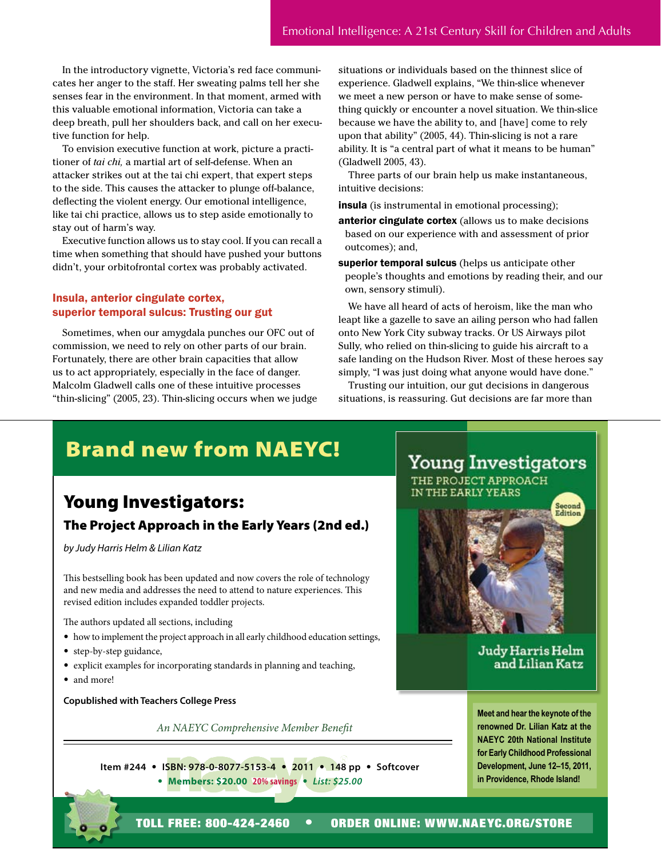In the introductory vignette, Victoria's red face communicates her anger to the staff. Her sweating palms tell her she senses fear in the environment. In that moment, armed with this valuable emotional information, Victoria can take a deep breath, pull her shoulders back, and call on her executive function for help.

To envision executive function at work, picture a practitioner of *tai chi,* a martial art of self-defense. When an attacker strikes out at the tai chi expert, that expert steps to the side. This causes the attacker to plunge off-balance, deflecting the violent energy. Our emotional intelligence, like tai chi practice, allows us to step aside emotionally to stay out of harm's way.

Executive function allows us to stay cool. If you can recall a time when something that should have pushed your buttons didn't, your orbitofrontal cortex was probably activated.

### Insula, anterior cingulate cortex, superior temporal sulcus: Trusting our gut

Sometimes, when our amygdala punches our OFC out of commission, we need to rely on other parts of our brain. Fortunately, there are other brain capacities that allow us to act appropriately, especially in the face of danger. Malcolm Gladwell calls one of these intuitive processes "thin-slicing" (2005, 23). Thin-slicing occurs when we judge situations or individuals based on the thinnest slice of experience. Gladwell explains, "We thin-slice whenever we meet a new person or have to make sense of something quickly or encounter a novel situation. We thin-slice because we have the ability to, and [have] come to rely upon that ability" (2005, 44). Thin-slicing is not a rare ability. It is "a central part of what it means to be human" (Gladwell 2005, 43).

Three parts of our brain help us make instantaneous, intuitive decisions:

**insula** (is instrumental in emotional processing);

- anterior cingulate cortex (allows us to make decisions based on our experience with and assessment of prior outcomes); and,
- superior temporal sulcus (helps us anticipate other people's thoughts and emotions by reading their, and our own, sensory stimuli).

We have all heard of acts of heroism, like the man who leapt like a gazelle to save an ailing person who had fallen onto New York City subway tracks. Or US Airways pilot Sully, who relied on thin-slicing to guide his aircraft to a safe landing on the Hudson River. Most of these heroes say simply, "I was just doing what anyone would have done."

Trusting our intuition, our gut decisions in dangerous situations, is reassuring. Gut decisions are far more than

## Brand new from NAEYC!

### Young Investigators:

### The Project Approach in the Early Years (2nd ed.)

*by Judy Harris Helm & Lilian Katz*

This bestselling book has been updated and now covers the role of technology and new media and addresses the need to attend to nature experiences. This revised edition includes expanded toddler projects.

The authors updated all sections, including

- how to implement the project approach in all early childhood education settings,
- step-by-step guidance,
- explicit examples for incorporating standards in planning and teaching,
- and more!

**Copublished with Teachers College Press**

*An NAEYC Comprehensive Member Benefit*

**Item #244** • **ISBN: 978-0-8077-5153-4** • **2011** • **148 pp** • **Softcover** • **Members: \$20.00 20% savings** • *List: \$25.00*



**Meet and hear the keynote of the renowned Dr. Lilian Katz at the NAEYC 20th National Institute for Early Childhood Professional Development, June 12–15, 2011, in Providence, Rhode Island!**

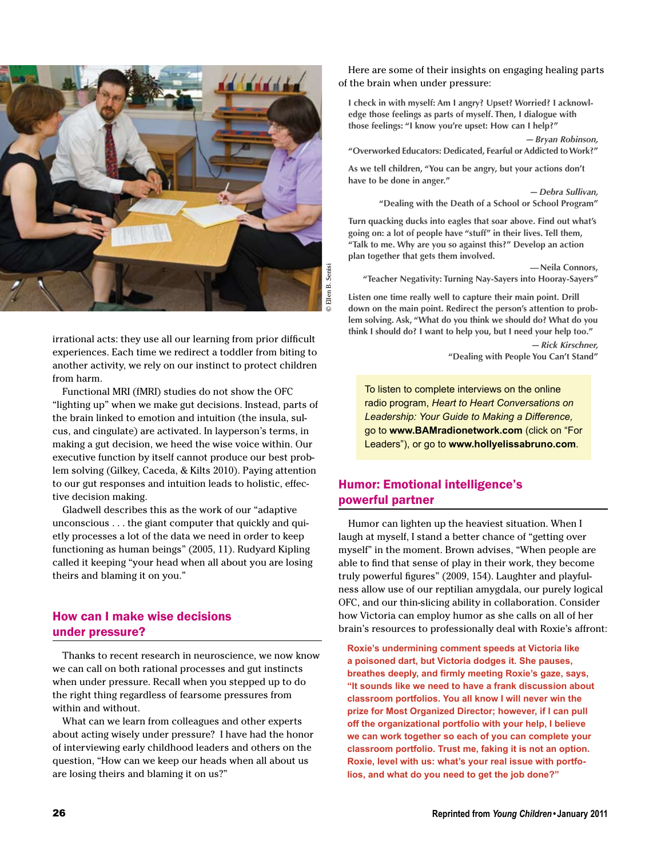

irrational acts: they use all our learning from prior difficult experiences. Each time we redirect a toddler from biting to another activity, we rely on our instinct to protect children from harm.

Functional MRI (fMRI) studies do not show the OFC "lighting up" when we make gut decisions. Instead, parts of the brain linked to emotion and intuition (the insula, sulcus, and cingulate) are activated. In layperson's terms, in making a gut decision, we heed the wise voice within. Our executive function by itself cannot produce our best problem solving (Gilkey, Caceda, & Kilts 2010). Paying attention to our gut responses and intuition leads to holistic, effective decision making.

Gladwell describes this as the work of our "adaptive unconscious . . . the giant computer that quickly and quietly processes a lot of the data we need in order to keep functioning as human beings" (2005, 11). Rudyard Kipling called it keeping "your head when all about you are losing theirs and blaming it on you."

### How can I make wise decisions under pressure?

Thanks to recent research in neuroscience, we now know we can call on both rational processes and gut instincts when under pressure. Recall when you stepped up to do the right thing regardless of fearsome pressures from within and without.

What can we learn from colleagues and other experts about acting wisely under pressure? I have had the honor of interviewing early childhood leaders and others on the question, "How can we keep our heads when all about us are losing theirs and blaming it on us?"

Here are some of their insights on engaging healing parts of the brain when under pressure:

**I check in with myself: Am I angry? Upset? Worried? I acknowledge those feelings as parts of myself. Then, I dialogue with those feelings: "I know you're upset: How can I help?"**

*—Bryan Robinson,* **"Overworked Educators: Dedicated, Fearful or Addicted to Work?"**

**As we tell children, "You can be angry, but your actions don't have to be done in anger."**

> *—Debra Sullivan,* **"Dealing with the Death of a School or School Program"**

**Turn quacking ducks into eagles that soar above. Find out what's going on: a lot of people have "stuff" in their lives. Tell them, "Talk to me. Why are you so against this?" Develop an action plan together that gets them involved.**

**—Neila Connors, "Teacher Negativity: Turning Nay-Sayers into Hooray-Sayers"**

**Listen one time really well to capture their main point. Drill down on the main point. Redirect the person's attention to problem solving. Ask, "What do you think we should do? What do you think I should do? I want to help you, but I need your help too."**

> *—Rick Kirschner,* **"Dealing with People You Can't Stand"**

To listen to complete interviews on the online radio program, *Heart to Heart Conversations on Leadership: Your Guide to Making a Difference,* go to **www.BAMradionetwork.com** (click on "For Leaders"), or go to **www.hollyelissabruno.com**.

### Humor: Emotional intelligence's powerful partner

Humor can lighten up the heaviest situation. When I laugh at myself, I stand a better chance of "getting over myself" in the moment. Brown advises, "When people are able to find that sense of play in their work, they become truly powerful figures" (2009, 154). Laughter and playfulness allow use of our reptilian amygdala, our purely logical OFC, and our thin-slicing ability in collaboration. Consider how Victoria can employ humor as she calls on all of her brain's resources to professionally deal with Roxie's affront:

**Roxie's undermining comment speeds at Victoria like a poisoned dart, but Victoria dodges it. She pauses, breathes deeply, and firmly meeting Roxie's gaze, says, "It sounds like we need to have a frank discussion about classroom portfolios. You all know I will never win the prize for Most Organized Director; however, if I can pull off the organizational portfolio with your help, I believe we can work together so each of you can complete your classroom portfolio. Trust me, faking it is not an option. Roxie, level with us: what's your real issue with portfolios, and what do you need to get the job done?"**